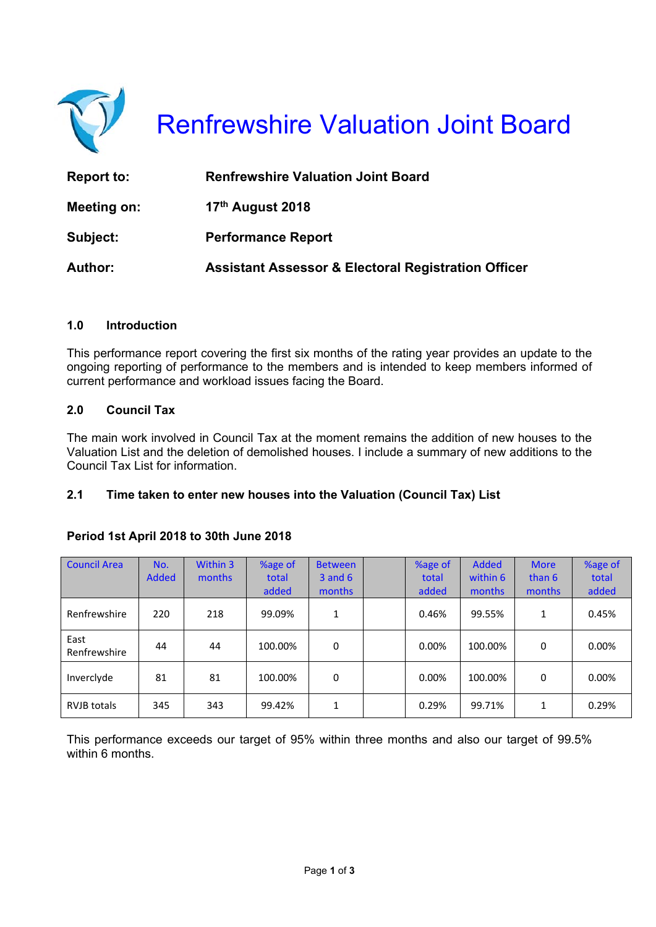

Renfrewshire Valuation Joint Board

| <b>Report to:</b> | <b>Renfrewshire Valuation Joint Board</b>                      |
|-------------------|----------------------------------------------------------------|
| Meeting on:       | 17 <sup>th</sup> August 2018                                   |
| Subject:          | <b>Performance Report</b>                                      |
| <b>Author:</b>    | <b>Assistant Assessor &amp; Electoral Registration Officer</b> |

#### **1.0 Introduction**

This performance report covering the first six months of the rating year provides an update to the ongoing reporting of performance to the members and is intended to keep members informed of current performance and workload issues facing the Board.

### **2.0 Council Tax**

The main work involved in Council Tax at the moment remains the addition of new houses to the Valuation List and the deletion of demolished houses. I include a summary of new additions to the Council Tax List for information.

#### **2.1 Time taken to enter new houses into the Valuation (Council Tax) List**

#### **Period 1st April 2018 to 30th June 2018**

| <b>Council Area</b>  | No.<br>Added | Within 3<br>months | %age of<br>total<br>added | <b>Between</b><br>$3$ and $6$<br>months | %age of<br>total<br>added | <b>Added</b><br>within 6<br>months | <b>More</b><br>than 6<br>months | %age of<br>total<br>added |
|----------------------|--------------|--------------------|---------------------------|-----------------------------------------|---------------------------|------------------------------------|---------------------------------|---------------------------|
| Renfrewshire         | 220          | 218                | 99.09%                    | 1                                       | 0.46%                     | 99.55%                             | 1                               | 0.45%                     |
| East<br>Renfrewshire | 44           | 44                 | 100.00%                   | 0                                       | $0.00\%$                  | 100.00%                            | $\Omega$                        | 0.00%                     |
| Invercivde           | 81           | 81                 | 100.00%                   | 0                                       | $0.00\%$                  | 100.00%                            | 0                               | 0.00%                     |
| <b>RVJB</b> totals   | 345          | 343                | 99.42%                    | 1                                       | 0.29%                     | 99.71%                             | 1                               | 0.29%                     |

This performance exceeds our target of 95% within three months and also our target of 99.5% within 6 months.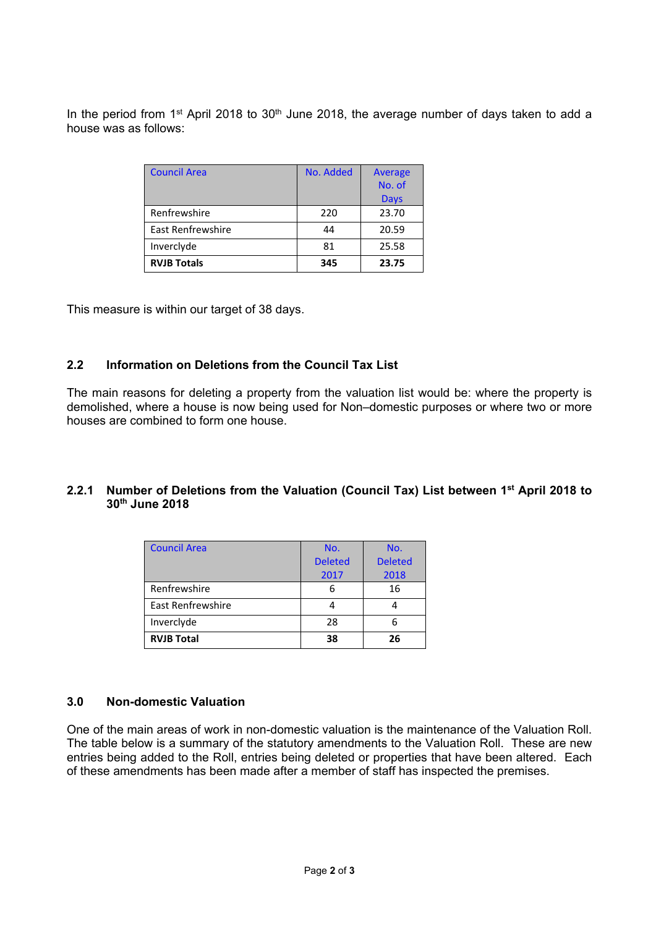In the period from 1<sup>st</sup> April 2018 to 30<sup>th</sup> June 2018, the average number of days taken to add a house was as follows:

| <b>Council Area</b>      | No. Added | <b>Average</b> |  |
|--------------------------|-----------|----------------|--|
|                          |           | No. of         |  |
|                          |           | <b>Days</b>    |  |
| Renfrewshire             | 220       | 23.70          |  |
| <b>East Renfrewshire</b> | 44        | 20.59          |  |
| Inverclyde               | 81        | 25.58          |  |
| <b>RVJB Totals</b>       | 345       | 23.75          |  |

This measure is within our target of 38 days.

#### **2.2 Information on Deletions from the Council Tax List**

The main reasons for deleting a property from the valuation list would be: where the property is demolished, where a house is now being used for Non–domestic purposes or where two or more houses are combined to form one house.

#### **2.2.1 Number of Deletions from the Valuation (Council Tax) List between 1st April 2018 to 30th June 2018**

| <b>Council Area</b>      | No.            | No.            |  |
|--------------------------|----------------|----------------|--|
|                          | <b>Deleted</b> | <b>Deleted</b> |  |
|                          | 2017           | 2018           |  |
| Renfrewshire             | 6              | 16             |  |
| <b>East Renfrewshire</b> |                |                |  |
| Inverclyde               | 28             |                |  |
| <b>RVJB Total</b>        | 38             | 26             |  |

#### **3.0 Non-domestic Valuation**

One of the main areas of work in non-domestic valuation is the maintenance of the Valuation Roll. The table below is a summary of the statutory amendments to the Valuation Roll. These are new entries being added to the Roll, entries being deleted or properties that have been altered. Each of these amendments has been made after a member of staff has inspected the premises.